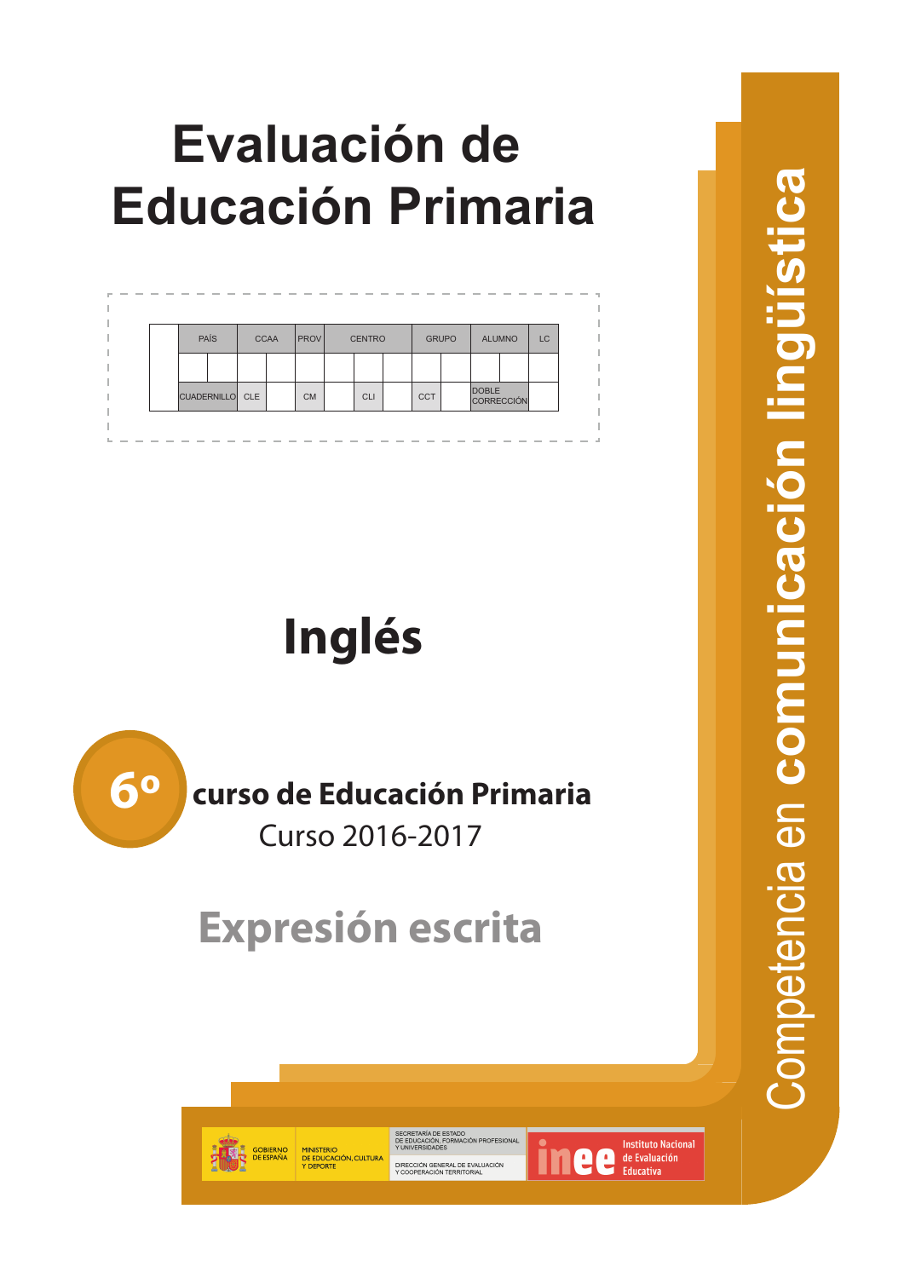# **Evaluación de Educación Primaria**



# **Inglés**



## **curso de Educación Primaria**

Curso 2016-2017

# **Expresión escrita**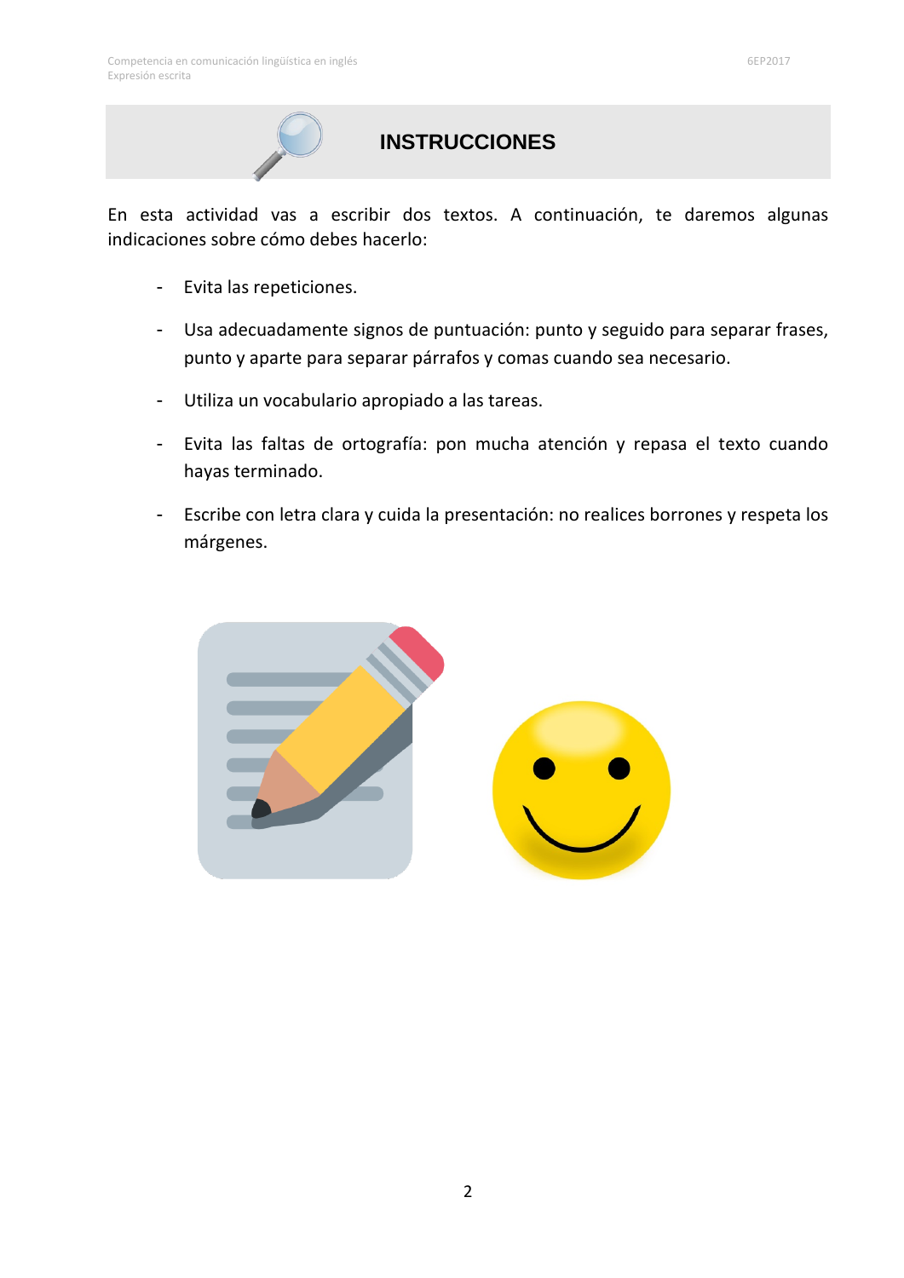## **INSTRUCCIONES**

En esta actividad vas a escribir dos textos. A continuación, te daremos algunas indicaciones sobre cómo debes hacerlo:

- Evita las repeticiones.
- Usa adecuadamente signos de puntuación: punto y seguido para separar frases, punto y aparte para separar párrafos y comas cuando sea necesario.
- Utiliza un vocabulario apropiado a las tareas.
- Evita las faltas de ortografía: pon mucha atención y repasa el texto cuando hayas terminado.
- Escribe con letra clara y cuida la presentación: no realices borrones y respeta los márgenes.

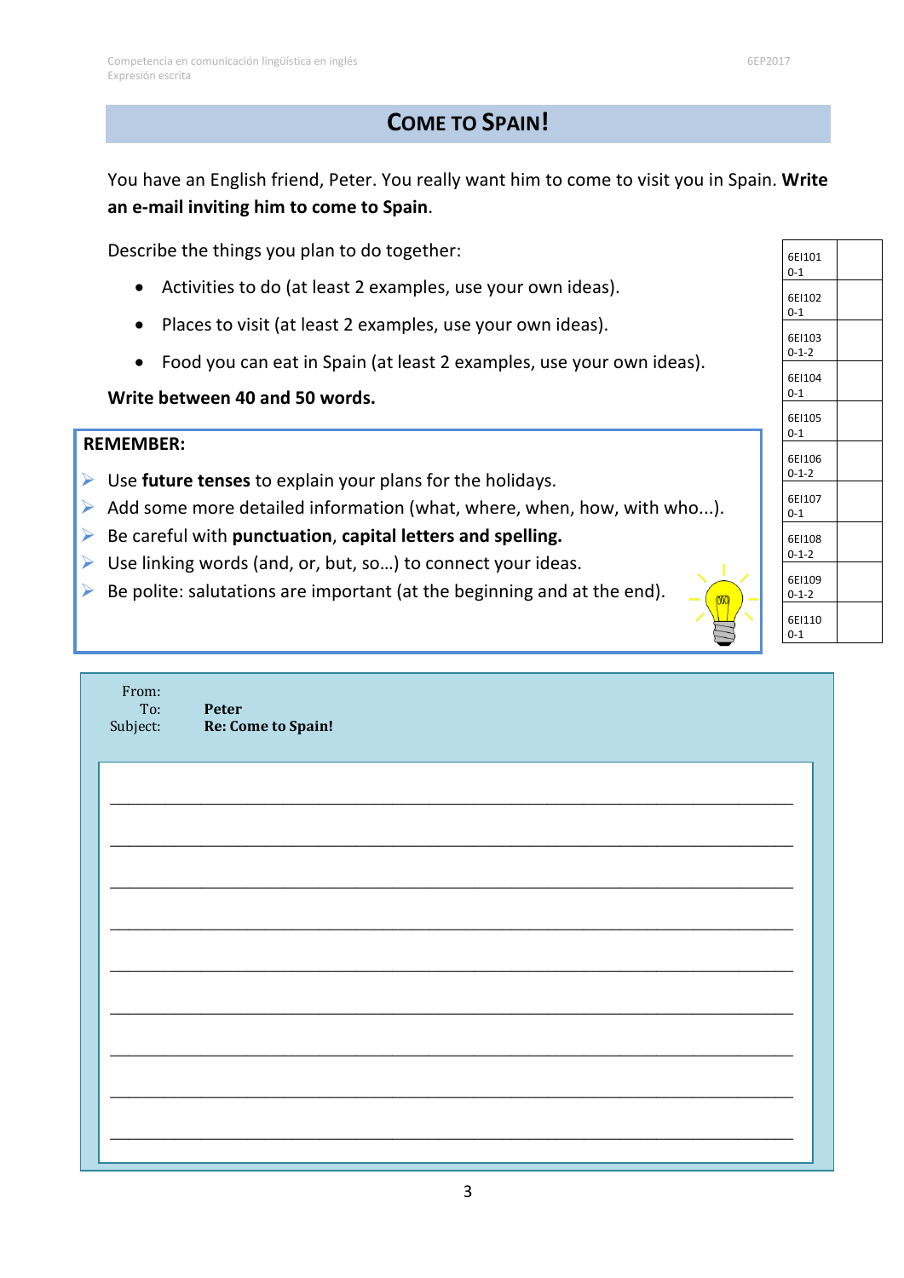### **COME TO SPAIN!**

You have an English friend, Peter. You really want him to come to visit you in Spain. **Write an e-mail inviting him to come to Spain**.

Describe the things you plan to do together:

- Activities to do (at least 2 examples, use your own ideas).
- Places to visit (at least 2 examples, use your own ideas).
- Food you can eat in Spain (at least 2 examples, use your own ideas).

#### **Write between 40 and 50 words.**

#### **REMEMBER:**

- Use **future tenses** to explain your plans for the holidays.
- $\triangleright$  Add some more detailed information (what, where, when, how, with who...).
- Be careful with **punctuation**, **capital letters and spelling.**
- $\triangleright$  Use linking words (and, or, but, so...) to connect your ideas.
- $\triangleright$  Be polite: salutations are important (at the beginning and at the end).

| From:<br>To:<br>Subject: | Peter<br>Re: Come to Spain! |
|--------------------------|-----------------------------|
|                          |                             |
|                          |                             |
|                          |                             |
|                          |                             |
|                          |                             |
|                          |                             |
|                          |                             |
|                          |                             |
|                          |                             |
|                          |                             |

| 6EI101<br>0-1         |  |
|-----------------------|--|
| 6EI102<br>0-1         |  |
| 6E1103<br>$0 - 1 - 2$ |  |
| 6EI104<br>0-1         |  |
| 6E1105<br>$0 - 1$     |  |
| 6EI106<br>$0 - 1 - 2$ |  |
| 6EI107<br>$0 - 1$     |  |
| 6E1108<br>$0 - 1 - 2$ |  |
| 6E1109<br>$0 - 1 - 2$ |  |
| 6EI110<br>$0 - 1$     |  |